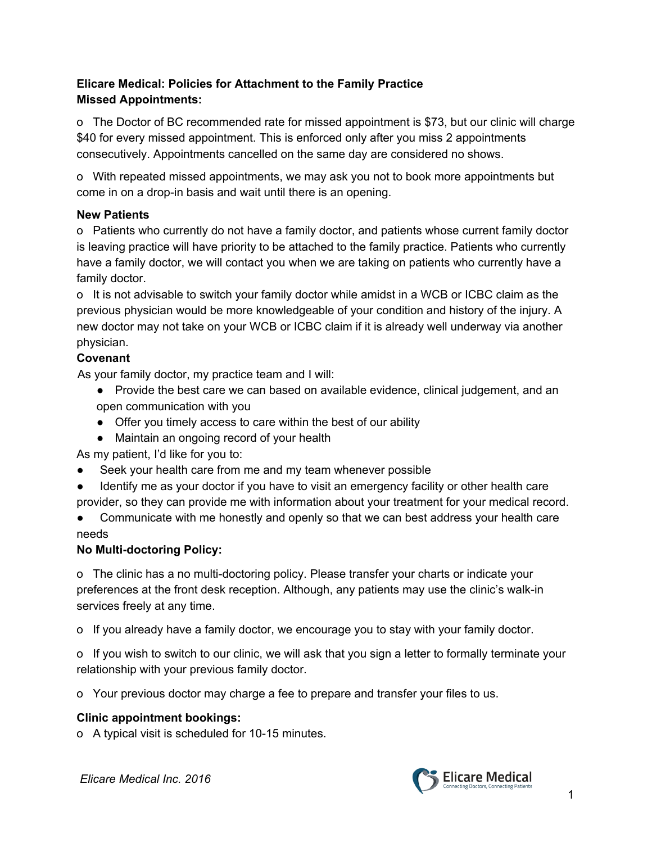# **Elicare Medical: Policies for Attachment to the Family Practice Missed Appointments:**

o The Doctor of BC recommended rate for missed appointment is \$73, but our clinic will charge \$40 for every missed appointment. This is enforced only after you miss 2 appointments consecutively. Appointments cancelled on the same day are considered no shows.

o With repeated missed appointments, we may ask you not to book more appointments but come in on a drop-in basis and wait until there is an opening.

## **New Patients**

o Patients who currently do not have a family doctor, and patients whose current family doctor is leaving practice will have priority to be attached to the family practice. Patients who currently have a family doctor, we will contact you when we are taking on patients who currently have a family doctor.

o It is not advisable to switch your family doctor while amidst in a WCB or ICBC claim as the previous physician would be more knowledgeable of your condition and history of the injury. A new doctor may not take on your WCB or ICBC claim if it is already well underway via another physician.

# **Covenant**

As your family doctor, my practice team and I will:

- Provide the best care we can based on available evidence, clinical judgement, and an open communication with you
- Offer you timely access to care within the best of our ability
- Maintain an ongoing record of your health

As my patient, I'd like for you to:

- Seek your health care from me and my team whenever possible
- Identify me as your doctor if you have to visit an emergency facility or other health care provider, so they can provide me with information about your treatment for your medical record.

• Communicate with me honestly and openly so that we can best address your health care needs

# **No Multi-doctoring Policy:**

o The clinic has a no multi-doctoring policy. Please transfer your charts or indicate your preferences at the front desk reception. Although, any patients may use the clinic's walk-in services freely at any time.

o If you already have a family doctor, we encourage you to stay with your family doctor.

o If you wish to switch to our clinic, we will ask that you sign a letter to formally terminate your relationship with your previous family doctor.

o Your previous doctor may charge a fee to prepare and transfer your files to us.

# **Clinic appointment bookings:**

o A typical visit is scheduled for 10-15 minutes.

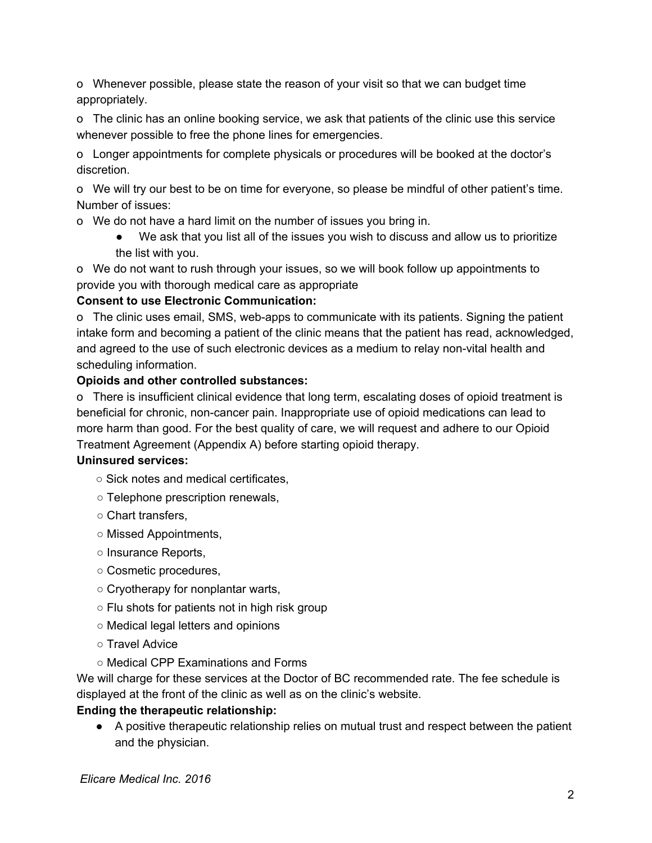o Whenever possible, please state the reason of your visit so that we can budget time appropriately.

o The clinic has an online booking service, we ask that patients of the clinic use this service whenever possible to free the phone lines for emergencies.

o Longer appointments for complete physicals or procedures will be booked at the doctor's discretion.

o We will try our best to be on time for everyone, so please be mindful of other patient's time. Number of issues:

o We do not have a hard limit on the number of issues you bring in.

● We ask that you list all of the issues you wish to discuss and allow us to prioritize the list with you.

o We do not want to rush through your issues, so we will book follow up appointments to provide you with thorough medical care as appropriate

# **Consent to use Electronic Communication:**

o The clinic uses email, SMS, web-apps to communicate with its patients. Signing the patient intake form and becoming a patient of the clinic means that the patient has read, acknowledged, and agreed to the use of such electronic devices as a medium to relay non-vital health and scheduling information.

## **Opioids and other controlled substances:**

o There is insufficient clinical evidence that long term, escalating doses of opioid treatment is beneficial for chronic, non-cancer pain. Inappropriate use of opioid medications can lead to more harm than good. For the best quality of care, we will request and adhere to our Opioid Treatment Agreement (Appendix A) before starting opioid therapy.

#### **Uninsured services:**

○ Sick notes and medical certificates,

- Telephone prescription renewals,
- Chart transfers,
- Missed Appointments,
- Insurance Reports,
- Cosmetic procedures,
- Cryotherapy for nonplantar warts,
- Flu shots for patients not in high risk group
- Medical legal letters and opinions
- Travel Advice
- Medical CPP Examinations and Forms

We will charge for these services at the Doctor of BC recommended rate. The fee schedule is displayed at the front of the clinic as well as on the clinic's website.

#### **Ending the therapeutic relationship:**

● A positive therapeutic relationship relies on mutual trust and respect between the patient and the physician.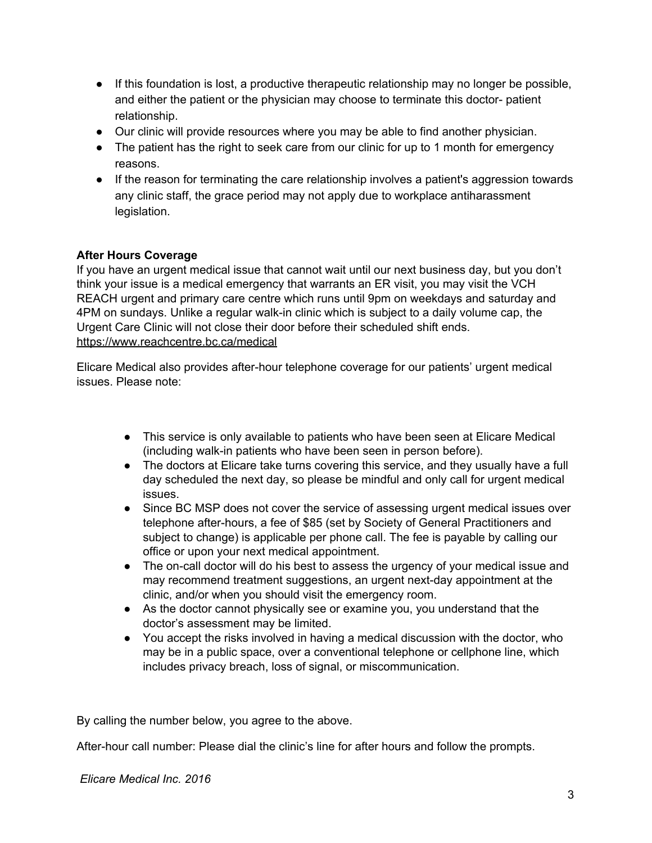- If this foundation is lost, a productive therapeutic relationship may no longer be possible, and either the patient or the physician may choose to terminate this doctor- patient relationship.
- Our clinic will provide resources where you may be able to find another physician.
- The patient has the right to seek care from our clinic for up to 1 month for emergency reasons.
- If the reason for terminating the care relationship involves a patient's aggression towards any clinic staff, the grace period may not apply due to workplace antiharassment legislation.

## **After Hours Coverage**

If you have an urgent medical issue that cannot wait until our next business day, but you don't think your issue is a medical emergency that warrants an ER visit, you may visit the VCH REACH urgent and primary care centre which runs until 9pm on weekdays and saturday and 4PM on sundays. Unlike a regular walk-in clinic which is subject to a daily volume cap, the Urgent Care Clinic will not close their door before their scheduled shift ends. <https://www.reachcentre.bc.ca/medical>

Elicare Medical also provides after-hour telephone coverage for our patients' urgent medical issues. Please note:

- This service is only available to patients who have been seen at Elicare Medical (including walk-in patients who have been seen in person before).
- The doctors at Elicare take turns covering this service, and they usually have a full day scheduled the next day, so please be mindful and only call for urgent medical issues.
- Since BC MSP does not cover the service of assessing urgent medical issues over telephone after-hours, a fee of \$85 (set by Society of General Practitioners and subject to change) is applicable per phone call. The fee is payable by calling our office or upon your next medical appointment.
- The on-call doctor will do his best to assess the urgency of your medical issue and may recommend treatment suggestions, an urgent next-day appointment at the clinic, and/or when you should visit the emergency room.
- As the doctor cannot physically see or examine you, you understand that the doctor's assessment may be limited.
- You accept the risks involved in having a medical discussion with the doctor, who may be in a public space, over a conventional telephone or cellphone line, which includes privacy breach, loss of signal, or miscommunication.

By calling the number below, you agree to the above.

After-hour call number: Please dial the clinic's line for after hours and follow the prompts.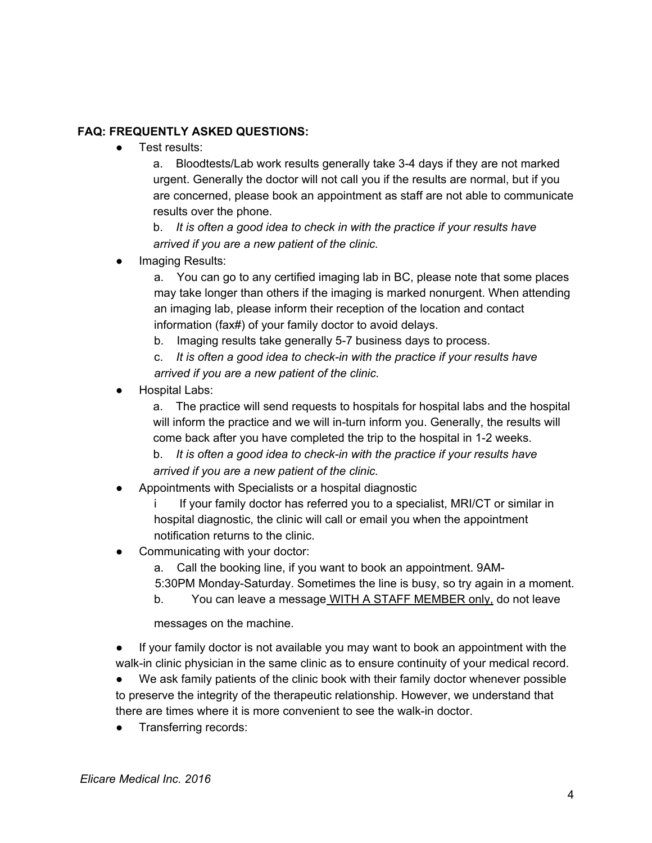#### **FAQ: FREQUENTLY ASKED QUESTIONS:**

● Test results:

a. Bloodtests/Lab work results generally take 3-4 days if they are not marked urgent. Generally the doctor will not call you if the results are normal, but if you are concerned, please book an appointment as staff are not able to communicate results over the phone.

b. *It is often a good idea to check in with the practice if your results have arrived if you are a new patient of the clinic.*

Imaging Results:

a. You can go to any certified imaging lab in BC, please note that some places may take longer than others if the imaging is marked nonurgent. When attending an imaging lab, please inform their reception of the location and contact information (fax#) of your family doctor to avoid delays.

b. Imaging results take generally 5-7 business days to process.

c. *It is often a good idea to check-in with the practice if your results have arrived if you are a new patient of the clinic.*

**Hospital Labs:** 

a. The practice will send requests to hospitals for hospital labs and the hospital will inform the practice and we will in-turn inform you. Generally, the results will come back after you have completed the trip to the hospital in 1-2 weeks.

b. *It is often a good idea to check-in with the practice if your results have arrived if you are a new patient of the clinic.*

Appointments with Specialists or a hospital diagnostic

i If your family doctor has referred you to a specialist, MRI/CT or similar in hospital diagnostic, the clinic will call or email you when the appointment notification returns to the clinic.

- Communicating with your doctor:
	- a. Call the booking line, if you want to book an appointment. 9AM-

5:30PM Monday-Saturday. Sometimes the line is busy, so try again in a moment.

b. You can leave a message WITH A STAFF MEMBER only, do not leave

messages on the machine.

● If your family doctor is not available you may want to book an appointment with the walk-in clinic physician in the same clinic as to ensure continuity of your medical record.

● We ask family patients of the clinic book with their family doctor whenever possible to preserve the integrity of the therapeutic relationship. However, we understand that there are times where it is more convenient to see the walk-in doctor.

• Transferring records: